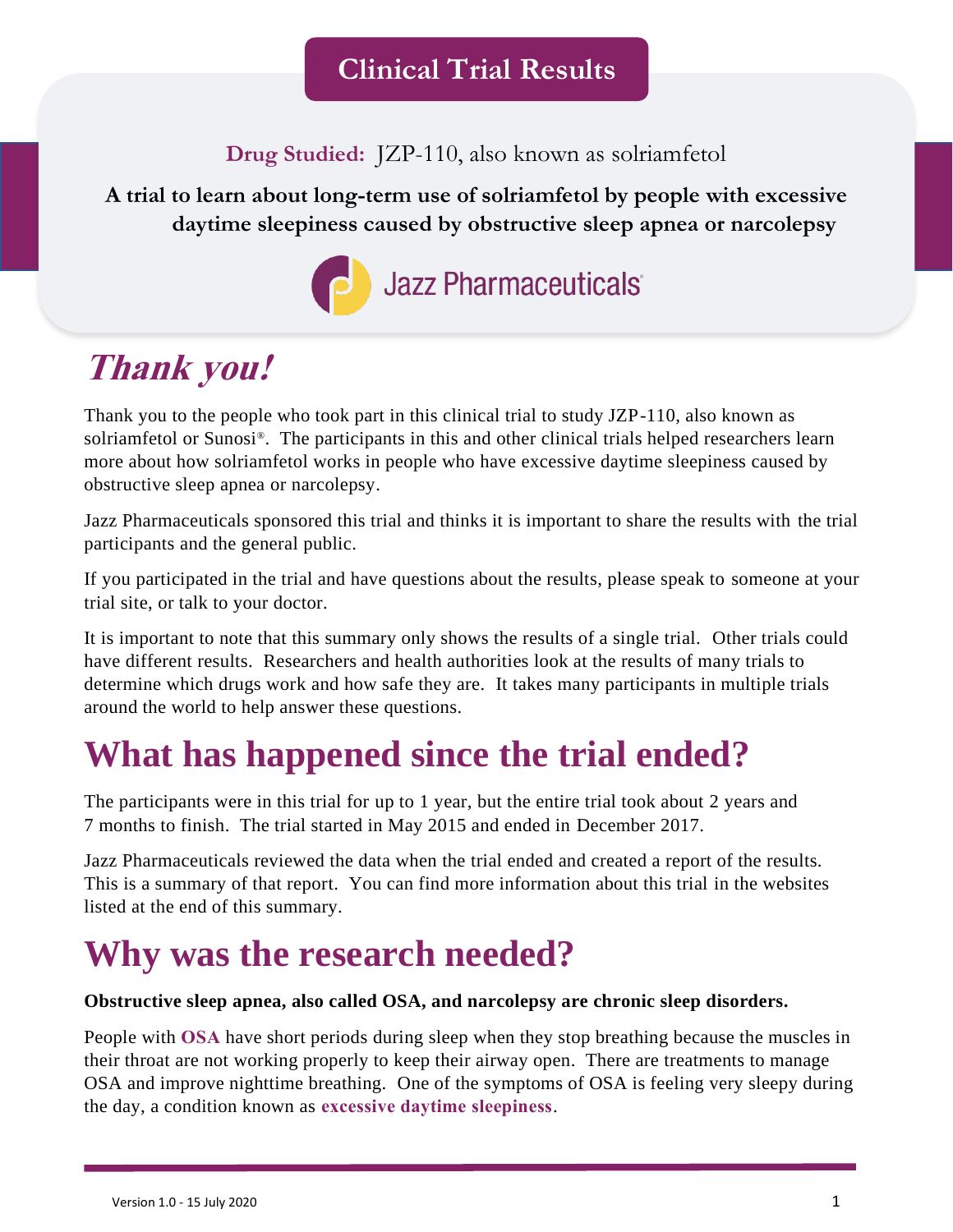**Drug Studied:** JZP-110, also known as solriamfetol

**A trial to learn about long-term use of solriamfetol by people with excessive daytime sleepiness caused by obstructive sleep apnea or narcolepsy**



## **Thank you!**

Thank you to the people who took part in this clinical trial to study JZP-110, also known as solriamfetol or Sunosi®. The participants in this and other clinical trials helped researchers learn more about how solriamfetol works in people who have excessive daytime sleepiness caused by obstructive sleep apnea or narcolepsy.

Jazz Pharmaceuticals sponsored this trial and thinks it is important to share the results with the trial participants and the general public.

If you participated in the trial and have questions about the results, please speak to someone at your trial site, or talk to your doctor.

It is important to note that this summary only shows the results of a single trial. Other trials could have different results. Researchers and health authorities look at the results of many trials to determine which drugs work and how safe they are. It takes many participants in multiple trials around the world to help answer these questions.

## **What has happened since the trial ended?**

The participants were in this trial for up to 1 year, but the entire trial took about 2 years and 7 months to finish. The trial started in May 2015 and ended in December 2017.

Jazz Pharmaceuticals reviewed the data when the trial ended and created a report of the results. This is a summary of that report. You can find more information about this trial in the websites listed at the end of this summary.

## **Why was the research needed?**

#### **Obstructive sleep apnea, also called OSA, and narcolepsy are chronic sleep disorders.**

People with **OSA** have short periods during sleep when they stop breathing because the muscles in their throat are not working properly to keep their airway open. There are treatments to manage OSA and improve nighttime breathing. One of the symptoms of OSA is feeling very sleepy during the day, a condition known as **excessive daytime sleepiness**.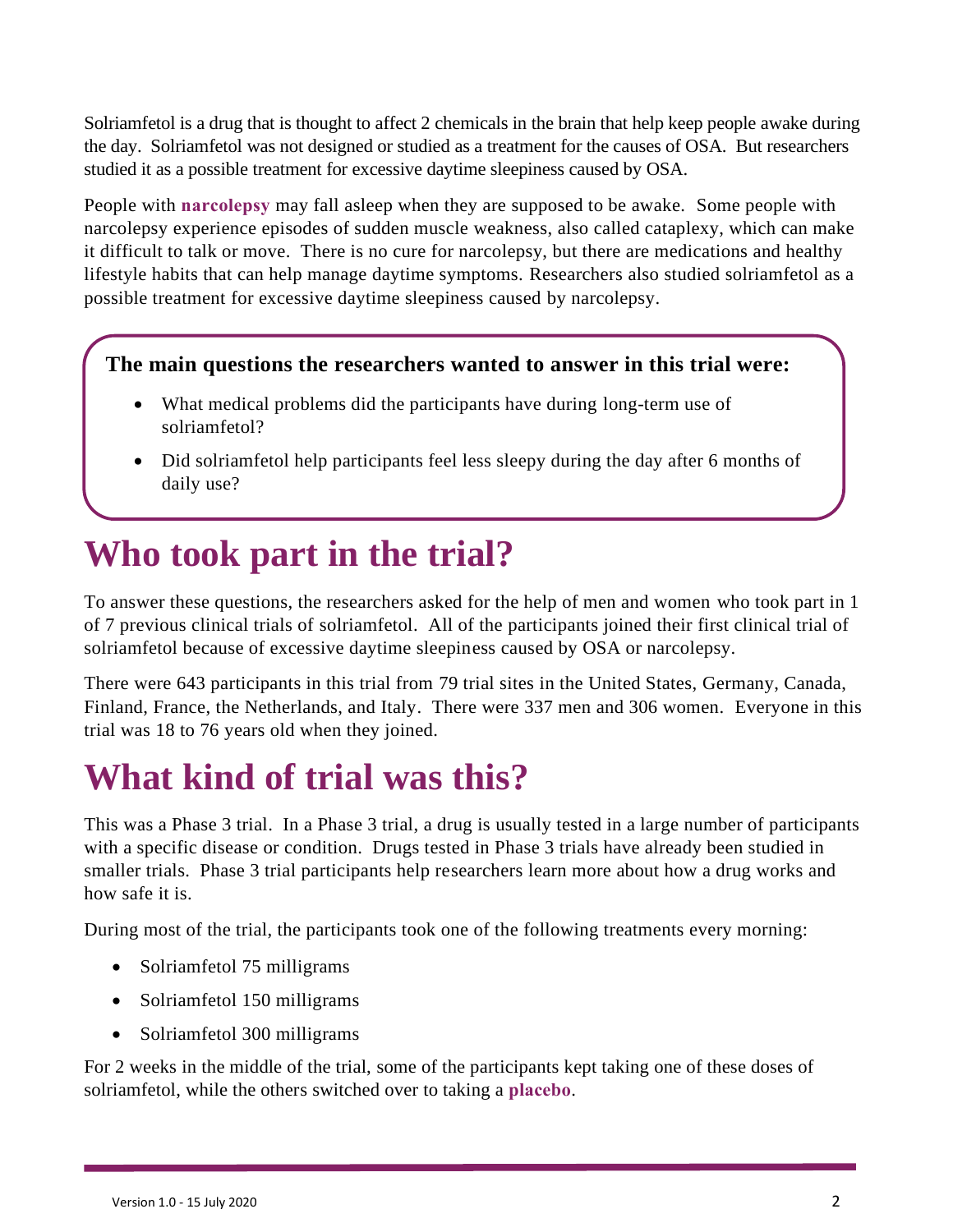Solriamfetol is a drug that is thought to affect 2 chemicals in the brain that help keep people awake during the day. Solriamfetol was not designed or studied as a treatment for the causes of OSA. But researchers studied it as a possible treatment for excessive daytime sleepiness caused by OSA.

People with **narcolepsy** may fall asleep when they are supposed to be awake. Some people with narcolepsy experience episodes of sudden muscle weakness, also called cataplexy, which can make it difficult to talk or move. There is no cure for narcolepsy, but there are medications and healthy lifestyle habits that can help manage daytime symptoms. Researchers also studied solriamfetol as a possible treatment for excessive daytime sleepiness caused by narcolepsy.

#### **The main questions the researchers wanted to answer in this trial were:**

- What medical problems did the participants have during long-term use of solriamfetol?
- Did solriamfetol help participants feel less sleepy during the day after 6 months of daily use?

## **Who took part in the trial?**

To answer these questions, the researchers asked for the help of men and women who took part in 1 of 7 previous clinical trials of solriamfetol. All of the participants joined their first clinical trial of solriamfetol because of excessive daytime sleepiness caused by OSA or narcolepsy.

There were 643 participants in this trial from 79 trial sites in the United States, Germany, Canada, Finland, France, the Netherlands, and Italy. There were 337 men and 306 women. Everyone in this trial was 18 to 76 years old when they joined.

## **What kind of trial was this?**

This was a Phase 3 trial. In a Phase 3 trial, a drug is usually tested in a large number of participants with a specific disease or condition. Drugs tested in Phase 3 trials have already been studied in smaller trials. Phase 3 trial participants help researchers learn more about how a drug works and how safe it is.

During most of the trial, the participants took one of the following treatments every morning:

- Solriamfetol 75 milligrams
- Solriamfetol 150 milligrams
- Solriamfetol 300 milligrams

For 2 weeks in the middle of the trial, some of the participants kept taking one of these doses of solriamfetol, while the others switched over to taking a **placebo**.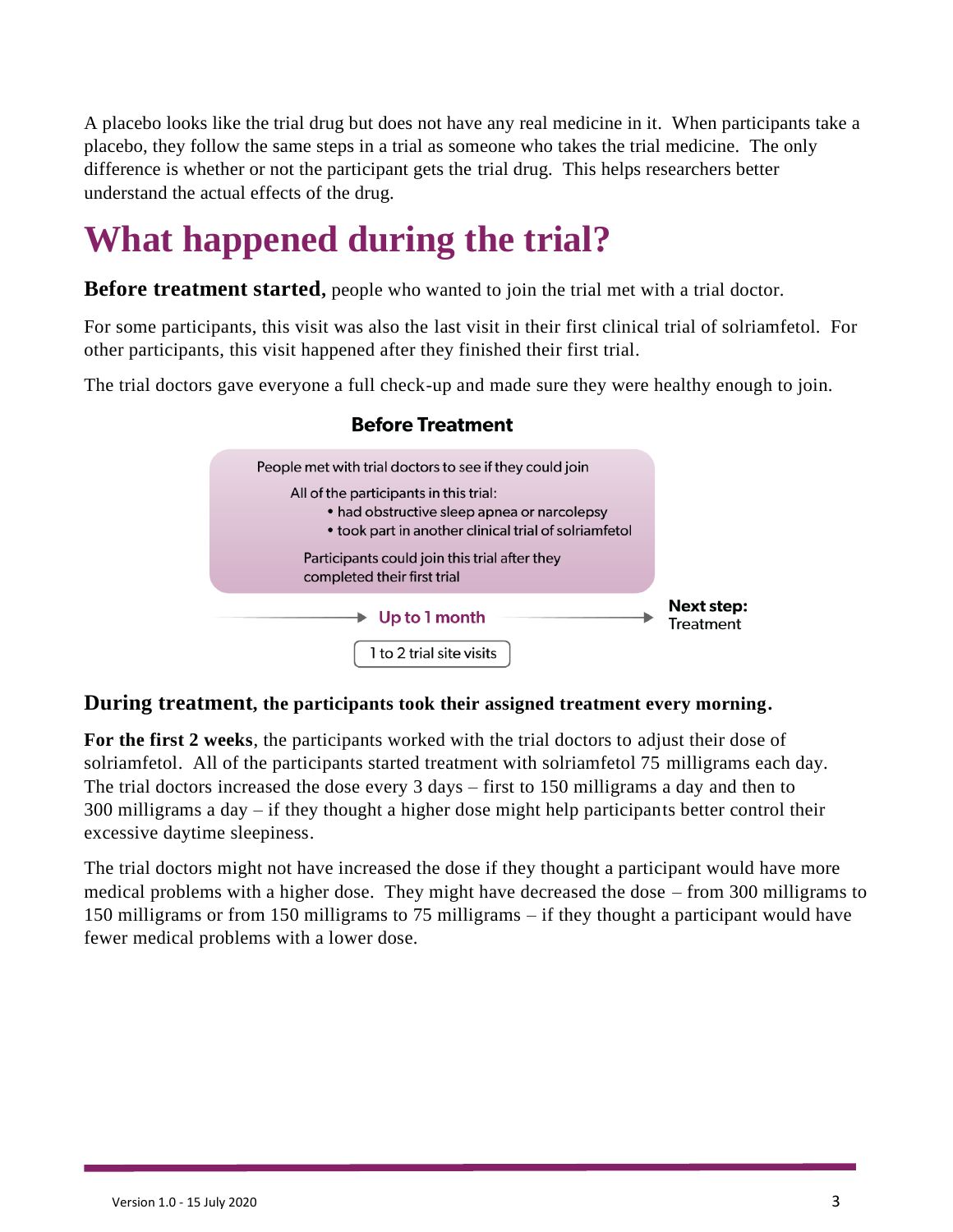A placebo looks like the trial drug but does not have any real medicine in it. When participants take a placebo, they follow the same steps in a trial as someone who takes the trial medicine. The only difference is whether or not the participant gets the trial drug. This helps researchers better understand the actual effects of the drug.

## **What happened during the trial?**

**Before treatment started**, people who wanted to join the trial met with a trial doctor.

For some participants, this visit was also the last visit in their first clinical trial of solriamfetol. For other participants, this visit happened after they finished their first trial.

The trial doctors gave everyone a full check-up and made sure they were healthy enough to join.



#### **Before Treatment**

#### **During treatment, the participants took their assigned treatment every morning.**

**For the first 2 weeks**, the participants worked with the trial doctors to adjust their dose of solriamfetol. All of the participants started treatment with solriamfetol 75 milligrams each day. The trial doctors increased the dose every 3 days – first to 150 milligrams a day and then to 300 milligrams a day – if they thought a higher dose might help participants better control their excessive daytime sleepiness.

The trial doctors might not have increased the dose if they thought a participant would have more medical problems with a higher dose. They might have decreased the dose – from 300 milligrams to 150 milligrams or from 150 milligrams to 75 milligrams – if they thought a participant would have fewer medical problems with a lower dose.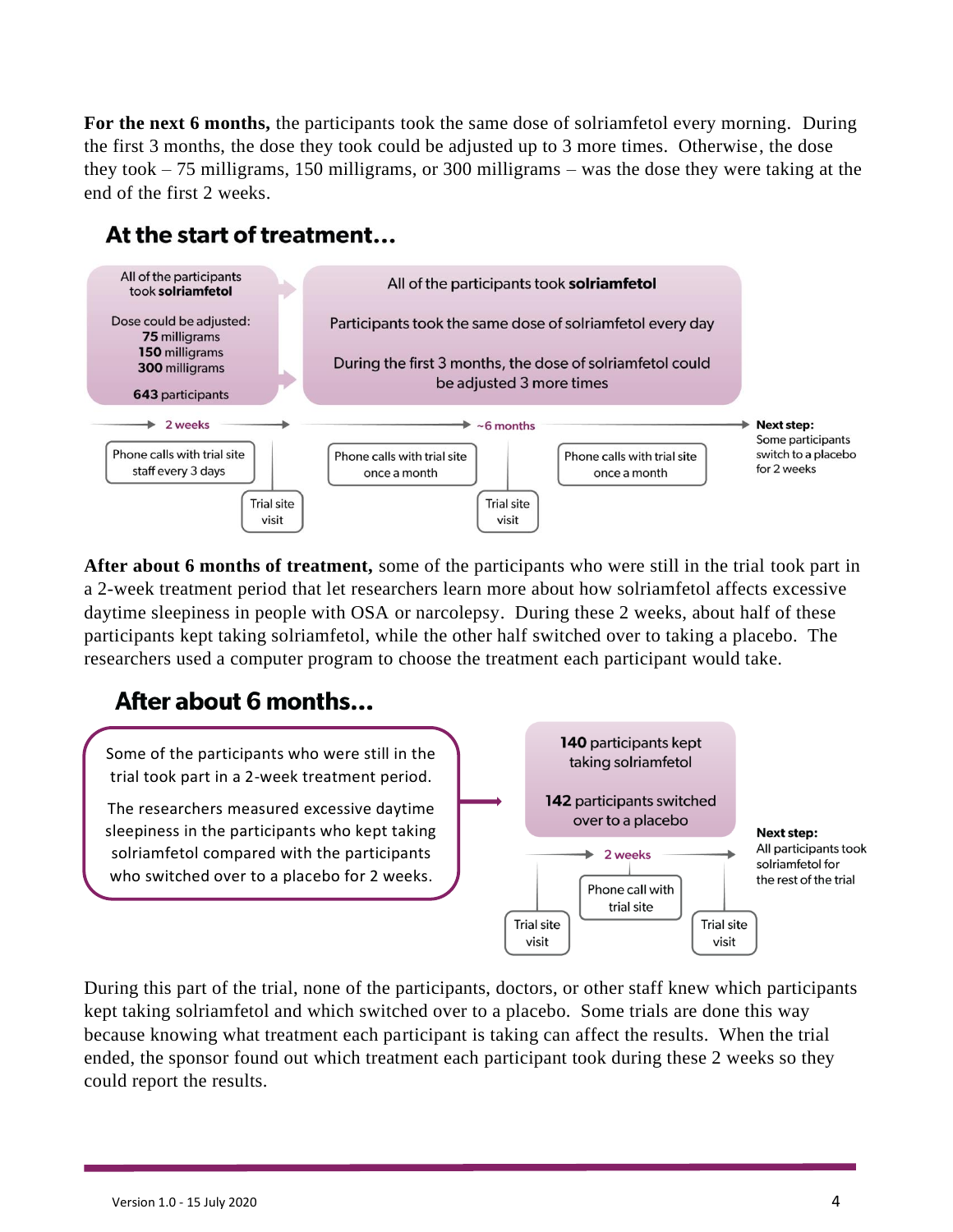**For the next 6 months,** the participants took the same dose of solriamfetol every morning. During the first 3 months, the dose they took could be adjusted up to 3 more times. Otherwise, the dose they took – 75 milligrams, 150 milligrams, or 300 milligrams – was the dose they were taking at the end of the first 2 weeks.

### At the start of treatment...



**After about 6 months of treatment,** some of the participants who were still in the trial took part in a 2-week treatment period that let researchers learn more about how solriamfetol affects excessive daytime sleepiness in people with OSA or narcolepsy. During these 2 weeks, about half of these participants kept taking solriamfetol, while the other half switched over to taking a placebo. The researchers used a computer program to choose the treatment each participant would take.

### After about 6 months...



During this part of the trial, none of the participants, doctors, or other staff knew which participants kept taking solriamfetol and which switched over to a placebo. Some trials are done this way because knowing what treatment each participant is taking can affect the results. When the trial ended, the sponsor found out which treatment each participant took during these 2 weeks so they could report the results.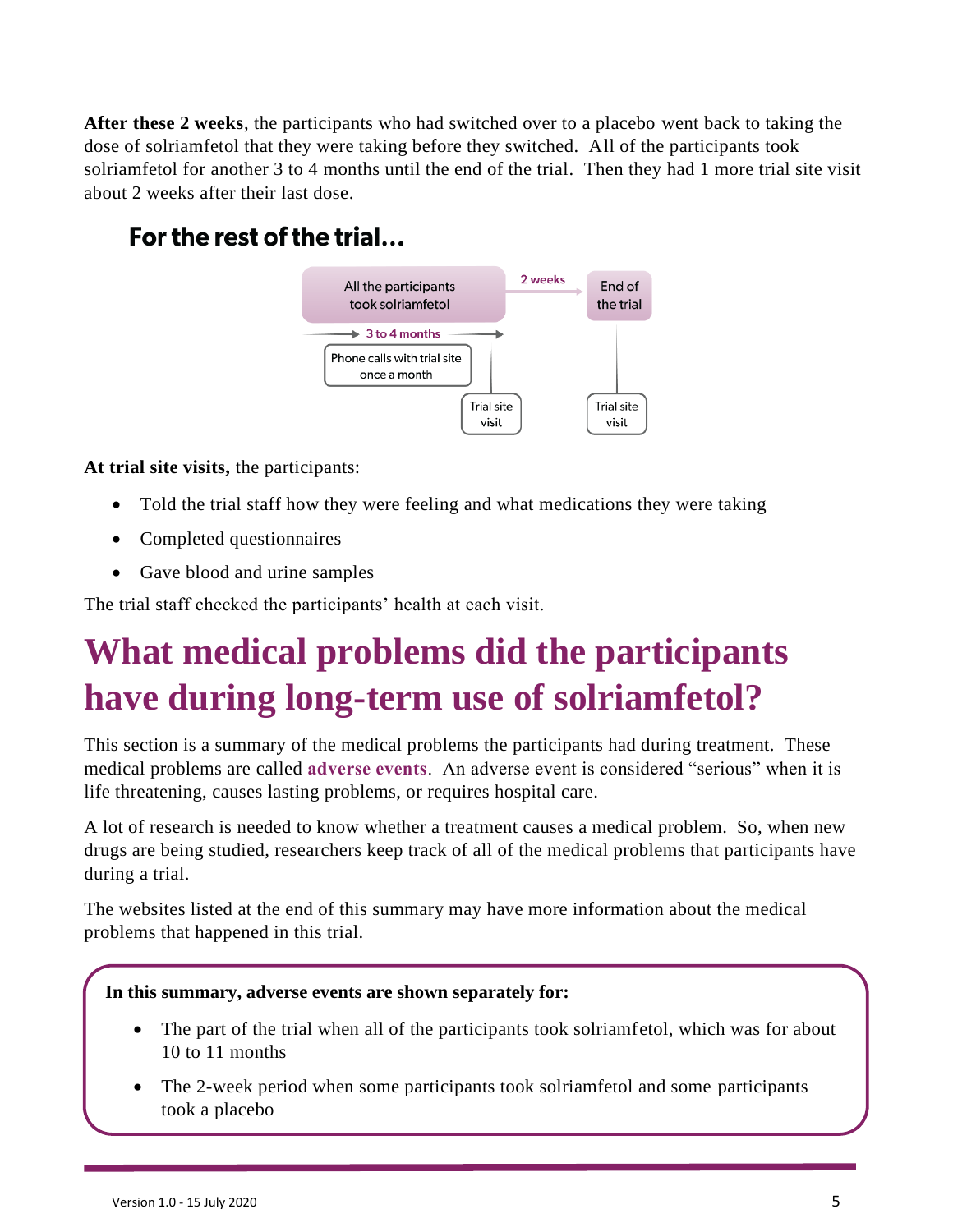**After these 2 weeks**, the participants who had switched over to a placebo went back to taking the dose of solriamfetol that they were taking before they switched. All of the participants took solriamfetol for another 3 to 4 months until the end of the trial. Then they had 1 more trial site visit about 2 weeks after their last dose.

### For the rest of the trial...



**At trial site visits,** the participants:

- Told the trial staff how they were feeling and what medications they were taking
- Completed questionnaires
- Gave blood and urine samples

The trial staff checked the participants' health at each visit.

## **What medical problems did the participants have during long-term use of solriamfetol?**

This section is a summary of the medical problems the participants had during treatment. These medical problems are called **adverse events**. An adverse event is considered "serious" when it is life threatening, causes lasting problems, or requires hospital care.

A lot of research is needed to know whether a treatment causes a medical problem. So, when new drugs are being studied, researchers keep track of all of the medical problems that participants have during a trial.

The websites listed at the end of this summary may have more information about the medical problems that happened in this trial.

#### **In this summary, adverse events are shown separately for:**

- The part of the trial when all of the participants took solriamfetol, which was for about 10 to 11 months
- The 2-week period when some participants took solriamfetol and some participants took a placebo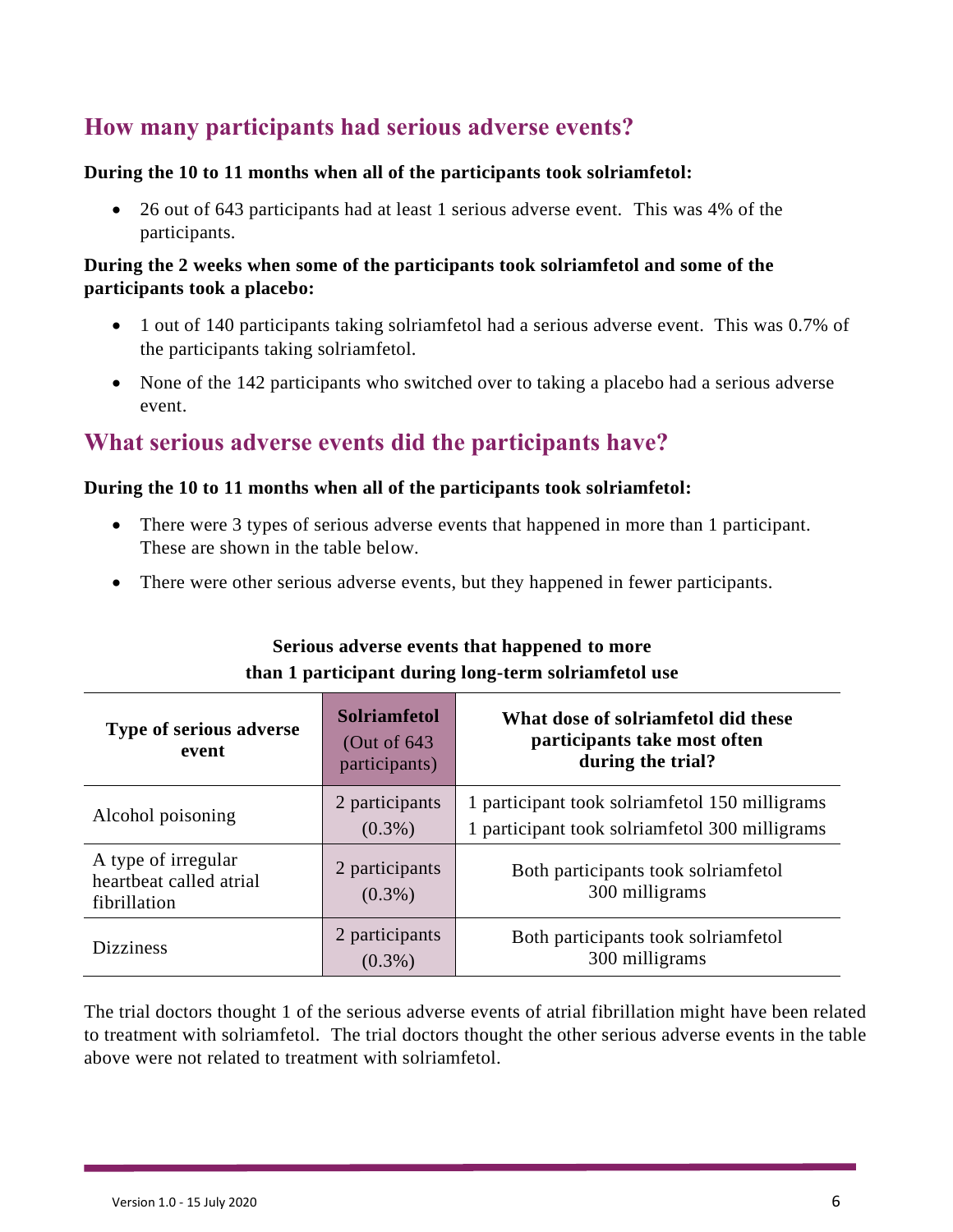### **How many participants had serious adverse events?**

#### **During the 10 to 11 months when all of the participants took solriamfetol:**

• 26 out of 643 participants had at least 1 serious adverse event. This was 4% of the participants.

#### **During the 2 weeks when some of the participants took solriamfetol and some of the participants took a placebo:**

- 1 out of 140 participants taking solriamfetol had a serious adverse event. This was 0.7% of the participants taking solriamfetol.
- None of the 142 participants who switched over to taking a placebo had a serious adverse event.

### **What serious adverse events did the participants have?**

#### **During the 10 to 11 months when all of the participants took solriamfetol:**

- There were 3 types of serious adverse events that happened in more than 1 participant. These are shown in the table below.
- There were other serious adverse events, but they happened in fewer participants.

| <b>Type of serious adverse</b><br>event                        | <b>Solriamfetol</b><br>(Out of $643$ )<br>participants) | What dose of solriamfetol did these<br>participants take most often<br>during the trial?         |
|----------------------------------------------------------------|---------------------------------------------------------|--------------------------------------------------------------------------------------------------|
| Alcohol poisoning                                              | 2 participants<br>$(0.3\%)$                             | 1 participant took solriamfetol 150 milligrams<br>1 participant took solriamfetol 300 milligrams |
| A type of irregular<br>heartbeat called atrial<br>fibrillation | 2 participants<br>$(0.3\%)$                             | Both participants took solriamfetol<br>300 milligrams                                            |
| <b>Dizziness</b>                                               | 2 participants<br>$(0.3\%)$                             | Both participants took solriamfetol<br>300 milligrams                                            |

#### **Serious adverse events that happened to more than 1 participant during long-term solriamfetol use**

The trial doctors thought 1 of the serious adverse events of atrial fibrillation might have been related to treatment with solriamfetol. The trial doctors thought the other serious adverse events in the table above were not related to treatment with solriamfetol.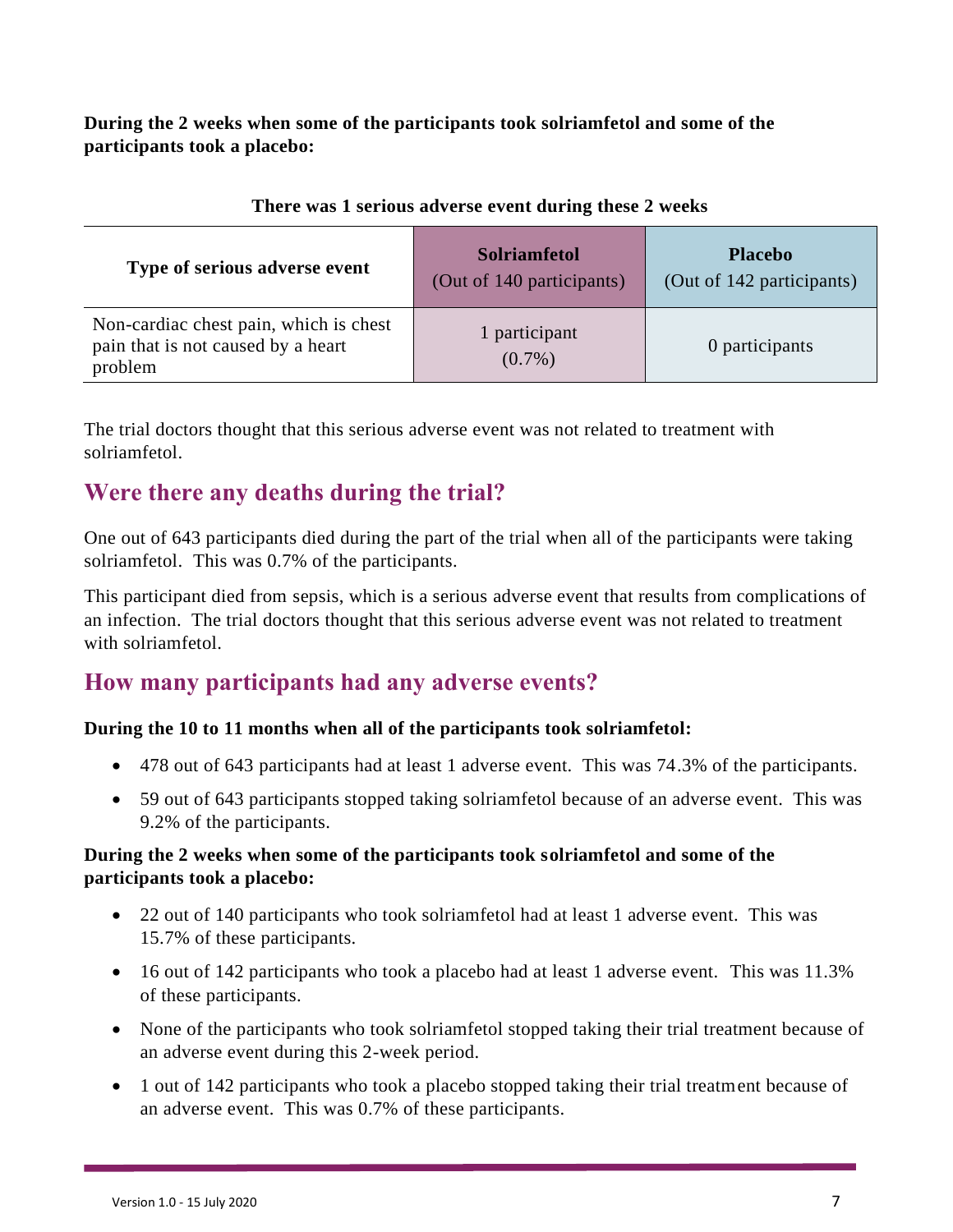**During the 2 weeks when some of the participants took solriamfetol and some of the participants took a placebo:**

| Type of serious adverse event                                                           | <b>Solriamfetol</b><br>(Out of 140 participants) | <b>Placebo</b><br>(Out of 142 participants) |
|-----------------------------------------------------------------------------------------|--------------------------------------------------|---------------------------------------------|
| Non-cardiac chest pain, which is chest<br>pain that is not caused by a heart<br>problem | 1 participant<br>$(0.7\%)$                       | 0 participants                              |

#### **There was 1 serious adverse event during these 2 weeks**

The trial doctors thought that this serious adverse event was not related to treatment with solriamfetol.

### **Were there any deaths during the trial?**

One out of 643 participants died during the part of the trial when all of the participants were taking solriamfetol. This was 0.7% of the participants.

This participant died from sepsis, which is a serious adverse event that results from complications of an infection. The trial doctors thought that this serious adverse event was not related to treatment with solriamfetol.

### **How many participants had any adverse events?**

#### **During the 10 to 11 months when all of the participants took solriamfetol:**

- 478 out of 643 participants had at least 1 adverse event. This was 74.3% of the participants.
- 59 out of 643 participants stopped taking solriamfetol because of an adverse event. This was 9.2% of the participants.

#### **During the 2 weeks when some of the participants took solriamfetol and some of the participants took a placebo:**

- 22 out of 140 participants who took solriamfetol had at least 1 adverse event. This was 15.7% of these participants.
- 16 out of 142 participants who took a placebo had at least 1 adverse event. This was 11.3% of these participants.
- None of the participants who took solriamfetol stopped taking their trial treatment because of an adverse event during this 2-week period.
- 1 out of 142 participants who took a placebo stopped taking their trial treatment because of an adverse event. This was 0.7% of these participants.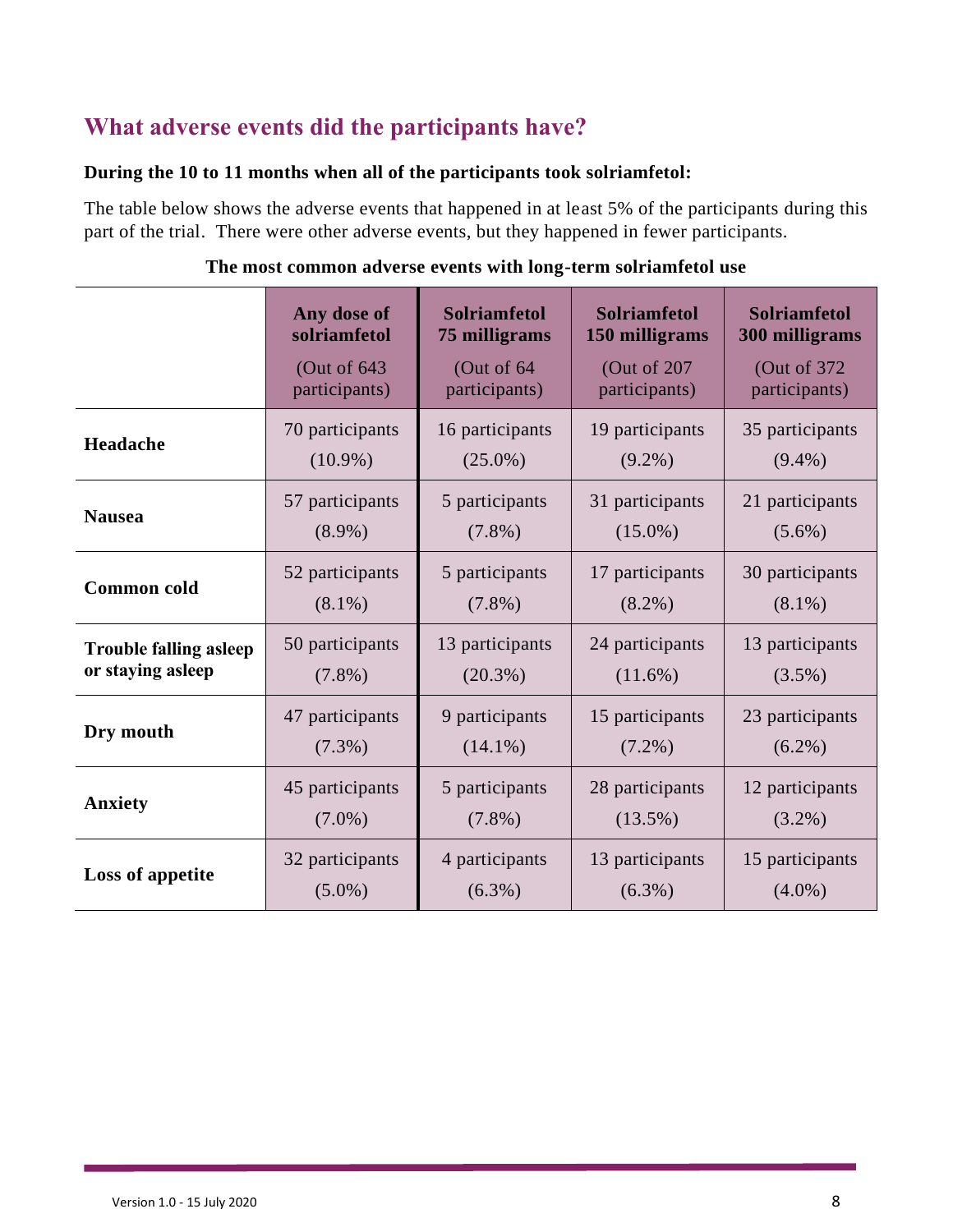### **What adverse events did the participants have?**

#### **During the 10 to 11 months when all of the participants took solriamfetol:**

The table below shows the adverse events that happened in at least 5% of the participants during this part of the trial. There were other adverse events, but they happened in fewer participants.

|                               | Any dose of     | <b>Solriamfetol</b> | <b>Solriamfetol</b> | <b>Solriamfetol</b> |
|-------------------------------|-----------------|---------------------|---------------------|---------------------|
|                               | solriamfetol    | 75 milligrams       | 150 milligrams      | 300 milligrams      |
|                               | (Out of $643$   | (Out of 64)         | (Out of 207         | (Out of 372)        |
|                               | participants)   | participants)       | participants)       | participants)       |
| Headache                      | 70 participants | 16 participants     | 19 participants     | 35 participants     |
|                               | $(10.9\%)$      | $(25.0\%)$          | $(9.2\%)$           | $(9.4\%)$           |
| <b>Nausea</b>                 | 57 participants | 5 participants      | 31 participants     | 21 participants     |
|                               | $(8.9\%)$       | $(7.8\%)$           | $(15.0\%)$          | $(5.6\%)$           |
| <b>Common</b> cold            | 52 participants | 5 participants      | 17 participants     | 30 participants     |
|                               | $(8.1\%)$       | $(7.8\%)$           | $(8.2\%)$           | $(8.1\%)$           |
| <b>Trouble falling asleep</b> | 50 participants | 13 participants     | 24 participants     | 13 participants     |
| or staying asleep             | $(7.8\%)$       | $(20.3\%)$          | $(11.6\%)$          | $(3.5\%)$           |
| Dry mouth                     | 47 participants | 9 participants      | 15 participants     | 23 participants     |
|                               | $(7.3\%)$       | $(14.1\%)$          | $(7.2\%)$           | $(6.2\%)$           |
| Anxiety                       | 45 participants | 5 participants      | 28 participants     | 12 participants     |
|                               | $(7.0\%)$       | $(7.8\%)$           | $(13.5\%)$          | $(3.2\%)$           |
| Loss of appetite              | 32 participants | 4 participants      | 13 participants     | 15 participants     |
|                               | $(5.0\%)$       | $(6.3\%)$           | $(6.3\%)$           | $(4.0\%)$           |

#### **The most common adverse events with long-term solriamfetol use**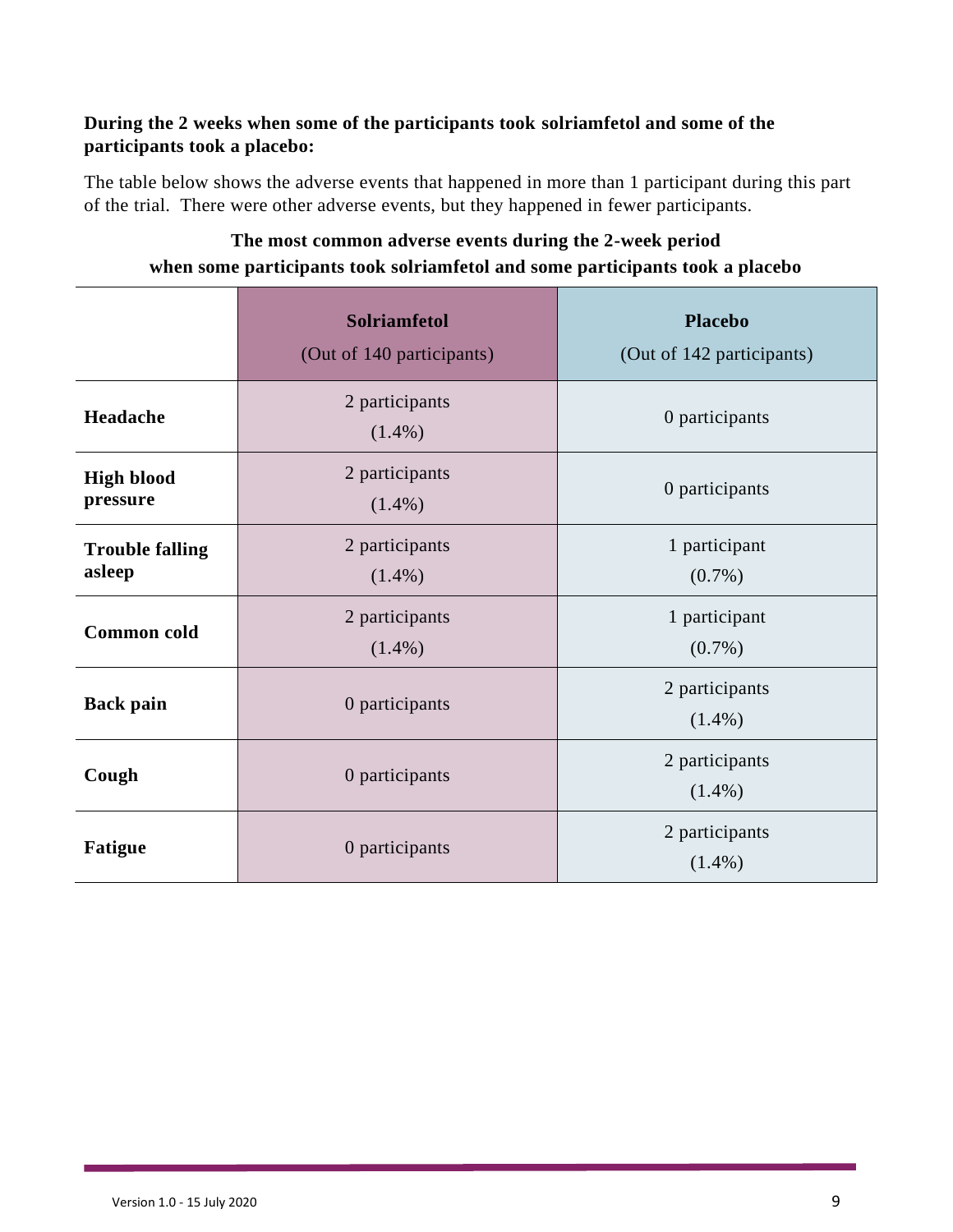#### **During the 2 weeks when some of the participants took solriamfetol and some of the participants took a placebo:**

The table below shows the adverse events that happened in more than 1 participant during this part of the trial. There were other adverse events, but they happened in fewer participants.

|                                  | <b>Solriamfetol</b><br>(Out of 140 participants) | <b>Placebo</b><br>(Out of 142 participants) |  |
|----------------------------------|--------------------------------------------------|---------------------------------------------|--|
| Headache                         | 2 participants<br>$(1.4\%)$                      | 0 participants                              |  |
| <b>High blood</b><br>pressure    | 2 participants<br>$(1.4\%)$                      | 0 participants                              |  |
| <b>Trouble falling</b><br>asleep | 2 participants<br>$(1.4\%)$                      | 1 participant<br>$(0.7\%)$                  |  |
| <b>Common</b> cold               | 2 participants<br>$(1.4\%)$                      | 1 participant<br>$(0.7\%)$                  |  |
| <b>Back pain</b>                 | 0 participants                                   | 2 participants<br>$(1.4\%)$                 |  |
| Cough                            | 0 participants                                   | 2 participants<br>$(1.4\%)$                 |  |
| <b>Fatigue</b>                   | 0 participants                                   | 2 participants<br>$(1.4\%)$                 |  |

#### **The most common adverse events during the 2-week period when some participants took solriamfetol and some participants took a placebo**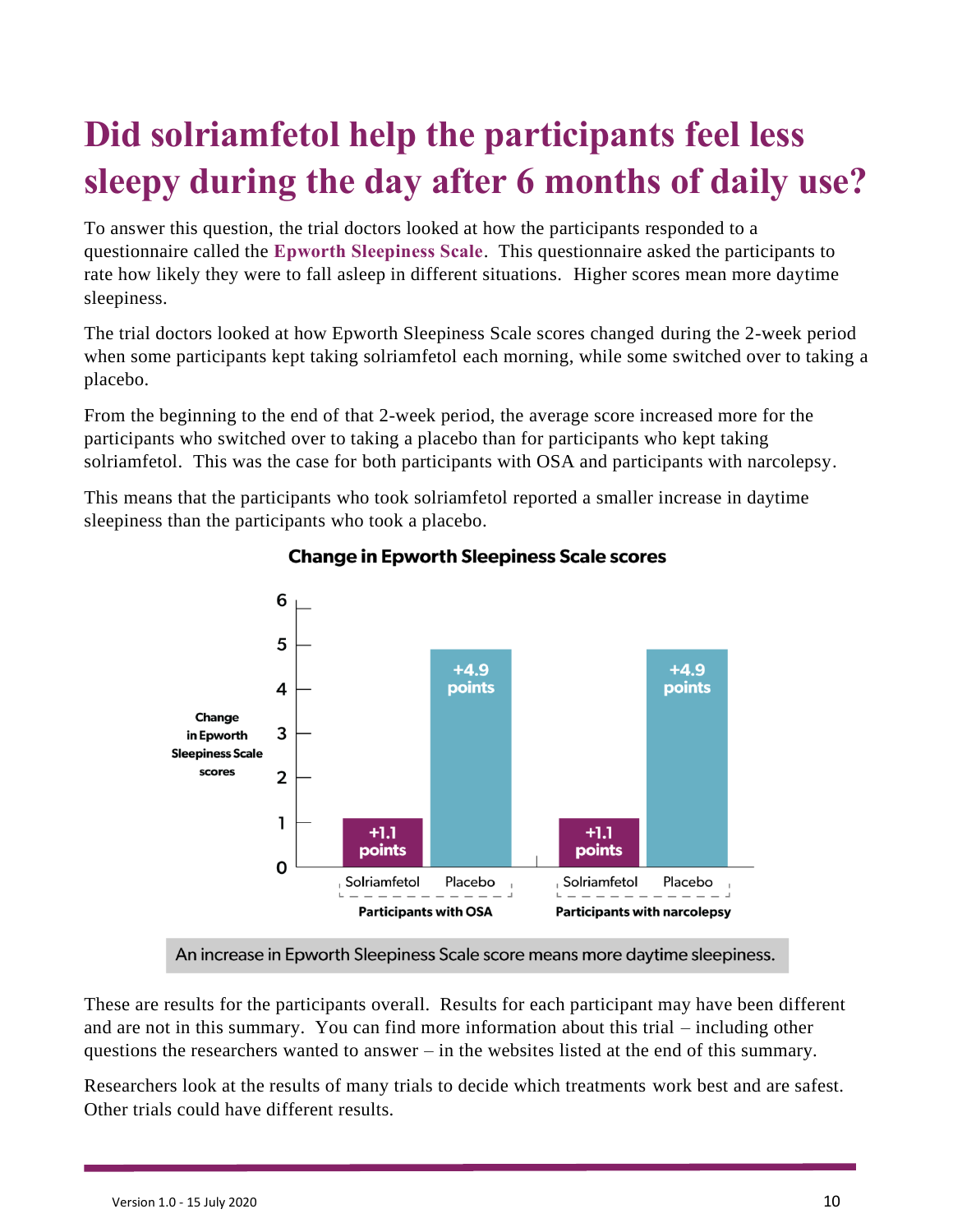# **Did solriamfetol help the participants feel less sleepy during the day after 6 months of daily use?**

To answer this question, the trial doctors looked at how the participants responded to a questionnaire called the **Epworth Sleepiness Scale**. This questionnaire asked the participants to rate how likely they were to fall asleep in different situations. Higher scores mean more daytime sleepiness.

The trial doctors looked at how Epworth Sleepiness Scale scores changed during the 2-week period when some participants kept taking solriamfetol each morning, while some switched over to taking a placebo.

From the beginning to the end of that 2-week period, the average score increased more for the participants who switched over to taking a placebo than for participants who kept taking solriamfetol. This was the case for both participants with OSA and participants with narcolepsy.

This means that the participants who took solriamfetol reported a smaller increase in daytime sleepiness than the participants who took a placebo.



#### **Change in Epworth Sleepiness Scale scores**

An increase in Epworth Sleepiness Scale score means more daytime sleepiness.

These are results for the participants overall. Results for each participant may have been different and are not in this summary. You can find more information about this trial – including other questions the researchers wanted to answer – in the websites listed at the end of this summary.

Researchers look at the results of many trials to decide which treatments work best and are safest. Other trials could have different results.